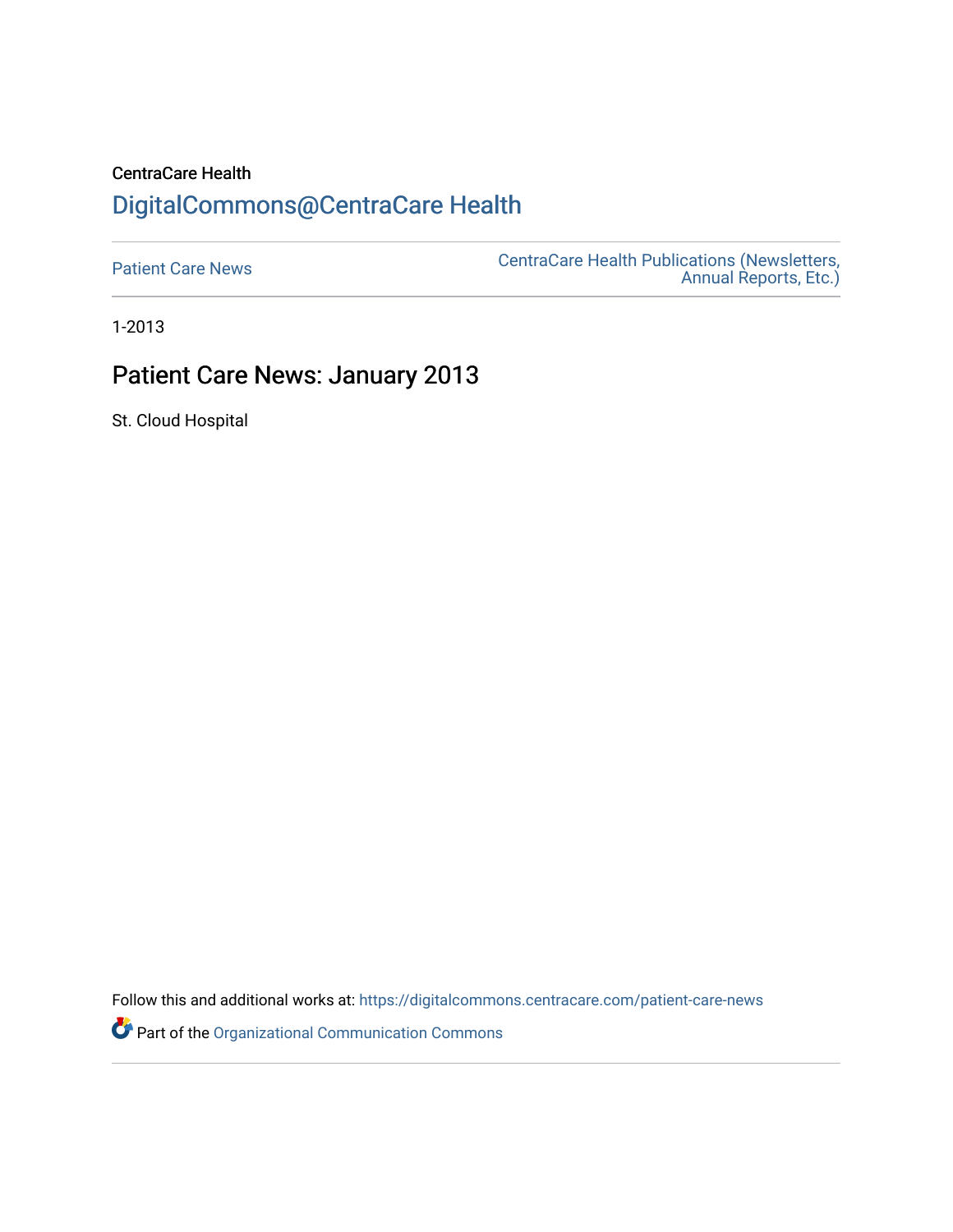## CentraCare Health [DigitalCommons@CentraCare Health](https://digitalcommons.centracare.com/)

[Patient Care News](https://digitalcommons.centracare.com/patient-care-news) [CentraCare Health Publications \(Newsletters,](https://digitalcommons.centracare.com/health_publications)  [Annual Reports, Etc.\)](https://digitalcommons.centracare.com/health_publications) 

1-2013

## Patient Care News: January 2013

St. Cloud Hospital

Follow this and additional works at: [https://digitalcommons.centracare.com/patient-care-news](https://digitalcommons.centracare.com/patient-care-news?utm_source=digitalcommons.centracare.com%2Fpatient-care-news%2F36&utm_medium=PDF&utm_campaign=PDFCoverPages) 

Part of the [Organizational Communication Commons](http://network.bepress.com/hgg/discipline/335?utm_source=digitalcommons.centracare.com%2Fpatient-care-news%2F36&utm_medium=PDF&utm_campaign=PDFCoverPages)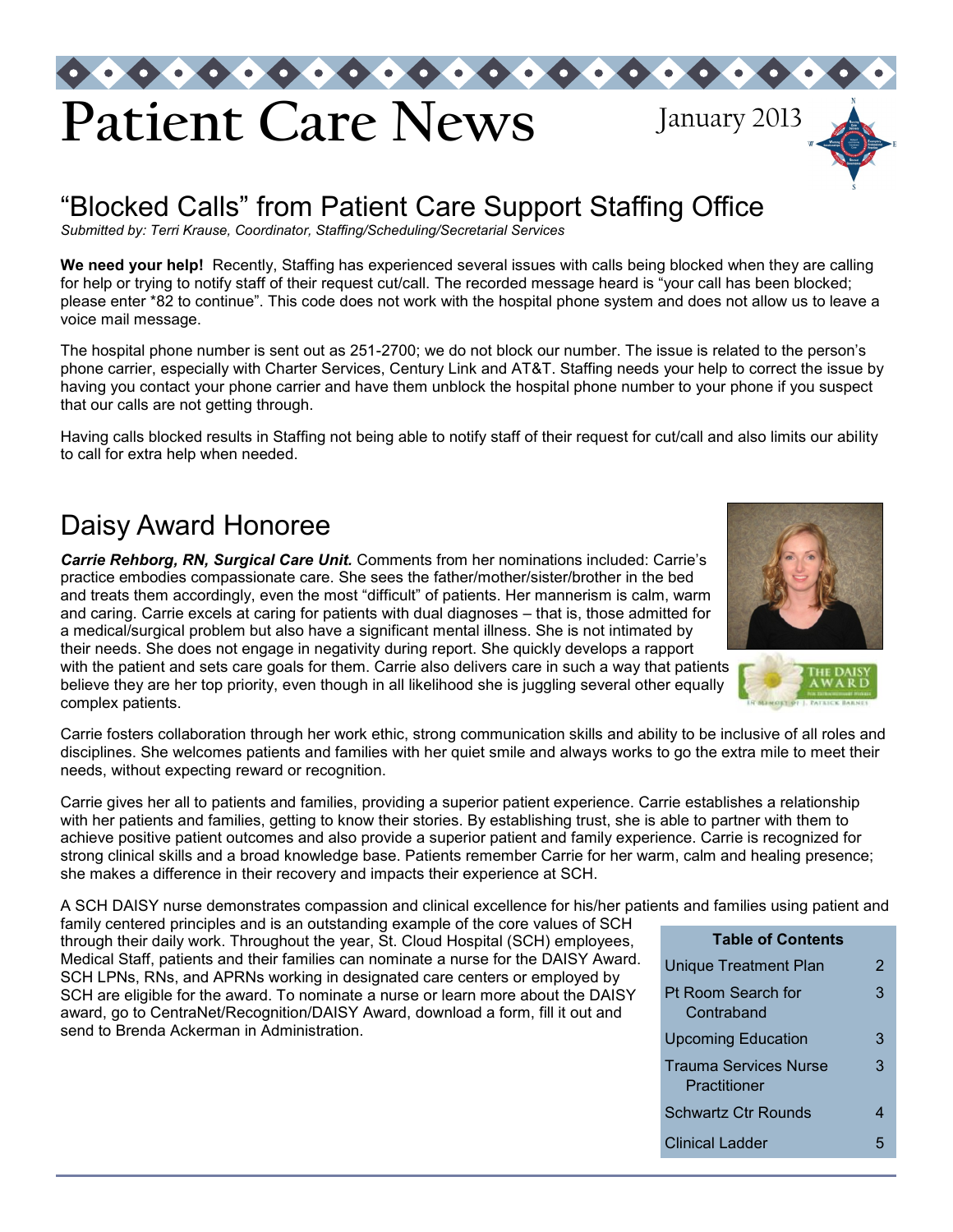

## "Blocked Calls" from Patient Care Support Staffing Office

*Submitted by: Terri Krause, Coordinator, Staffing/Scheduling/Secretarial Services* 

**We need your help!** Recently, Staffing has experienced several issues with calls being blocked when they are calling for help or trying to notify staff of their request cut/call. The recorded message heard is "your call has been blocked; please enter \*82 to continue". This code does not work with the hospital phone system and does not allow us to leave a voice mail message.

The hospital phone number is sent out as 251-2700; we do not block our number. The issue is related to the person's phone carrier, especially with Charter Services, Century Link and AT&T. Staffing needs your help to correct the issue by having you contact your phone carrier and have them unblock the hospital phone number to your phone if you suspect that our calls are not getting through.

Having calls blocked results in Staffing not being able to notify staff of their request for cut/call and also limits our ability to call for extra help when needed.

## Daisy Award Honoree

*Carrie Rehborg, RN, Surgical Care Unit.* Comments from her nominations included: Carrie's practice embodies compassionate care. She sees the father/mother/sister/brother in the bed and treats them accordingly, even the most "difficult" of patients. Her mannerism is calm, warm and caring. Carrie excels at caring for patients with dual diagnoses – that is, those admitted for a medical/surgical problem but also have a significant mental illness. She is not intimated by their needs. She does not engage in negativity during report. She quickly develops a rapport with the patient and sets care goals for them. Carrie also delivers care in such a way that patients believe they are her top priority, even though in all likelihood she is juggling several other equally complex patients.



Carrie gives her all to patients and families, providing a superior patient experience. Carrie establishes a relationship with her patients and families, getting to know their stories. By establishing trust, she is able to partner with them to achieve positive patient outcomes and also provide a superior patient and family experience. Carrie is recognized for strong clinical skills and a broad knowledge base. Patients remember Carrie for her warm, calm and healing presence; she makes a difference in their recovery and impacts their experience at SCH.

A SCH DAISY nurse demonstrates compassion and clinical excellence for his/her patients and families using patient and

family centered principles and is an outstanding example of the core values of SCH through their daily work. Throughout the year, St. Cloud Hospital (SCH) employees, Medical Staff, patients and their families can nominate a nurse for the DAISY Award. SCH LPNs, RNs, and APRNs working in designated care centers or employed by SCH are eligible for the award. To nominate a nurse or learn more about the DAISY award, go to CentraNet/Recognition/DAISY Award, download a form, fill it out and send to Brenda Ackerman in Administration.

| <b>Table of Contents</b>                     |   |
|----------------------------------------------|---|
| Unique Treatment Plan                        | 2 |
| Pt Room Search for<br>Contraband             | 3 |
| <b>Upcoming Education</b>                    | З |
| <b>Trauma Services Nurse</b><br>Practitioner | З |
| Schwartz Ctr Rounds                          | 4 |
| Clinical Ladder                              |   |

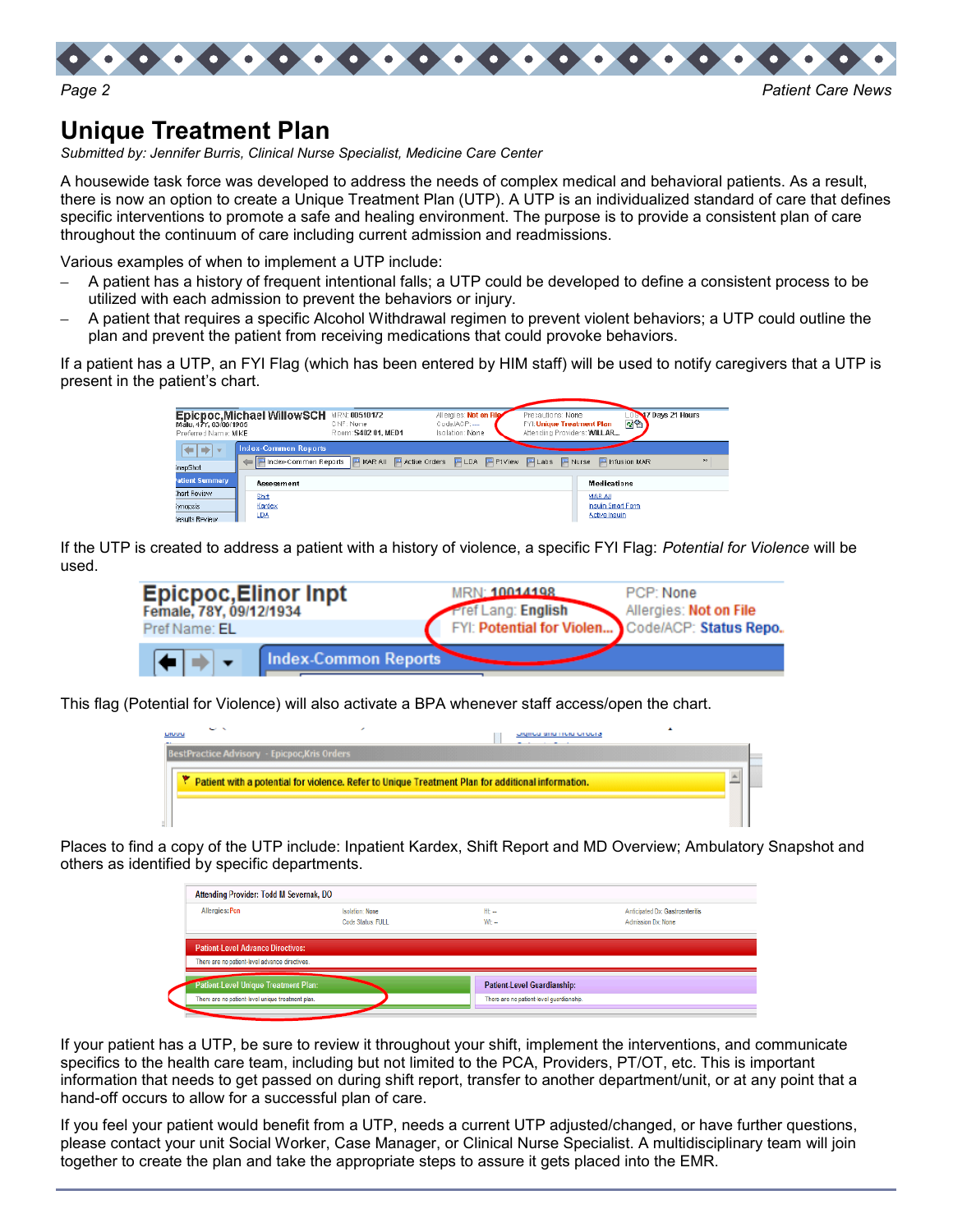

## **Unique Treatment Plan**

*Submitted by: Jennifer Burris, Clinical Nurse Specialist, Medicine Care Center* 

A housewide task force was developed to address the needs of complex medical and behavioral patients. As a result, there is now an option to create a Unique Treatment Plan (UTP). A UTP is an individualized standard of care that defines specific interventions to promote a safe and healing environment. The purpose is to provide a consistent plan of care throughout the continuum of care including current admission and readmissions.

Various examples of when to implement a UTP include:

- A patient has a history of frequent intentional falls; a UTP could be developed to define a consistent process to be utilized with each admission to prevent the behaviors or injury.
- A patient that requires a specific Alcohol Withdrawal regimen to prevent violent behaviors; a UTP could outline the plan and prevent the patient from receiving medications that could provoke behaviors.

If a patient has a UTP, an FYI Flag (which has been entered by HIM staff) will be used to notify caregivers that a UTP is present in the patient's chart.

| Male, 47Y, 03/06/1965<br>Preferred Name: MIKE                  | Epicpoc, Michael WillowSCH                                        | <b>MRN: 00510172</b><br>CNF: None<br>Room: \$402.01, MED1 | Allergies: Not on File<br>CodeJACP:<br>Isolation: None | Precautions: None<br>愛留<br>FYI: Unique Treatment Plan<br>Attending Providers: WILLAR | <b>OBMZ Days 21 Hours</b> |
|----------------------------------------------------------------|-------------------------------------------------------------------|-----------------------------------------------------------|--------------------------------------------------------|--------------------------------------------------------------------------------------|---------------------------|
| [≑ ≑]≁<br>hafSqeni                                             | <b>Index-Common Reports</b><br>E Findex-Common Reports Fi MAR All |                                                           |                                                        | 日Active Orders 日LDA 日PIView 日Labs 日Nurse 日 Infusion MAR                              | $\boldsymbol{v}$          |
| atient Summary<br>hart Review<br>iyn opsis.<br>lesuits Review. | <b>Assessment</b><br>Shift<br><b>Hardex</b><br>ᅜ                  |                                                           |                                                        | <b>Medications</b><br>MAR AIL<br>Insuin Smart Form<br>Active insuln                  |                           |

If the UTP is created to address a patient with a history of violence, a specific FYI Flag: *Potential for Violence* will be used.

| <b>Epicpoc, Elinor Inpt</b><br>Female, 78Y, 09/12/1934<br>Pref Name: EL | <b>MRN</b> 10014198<br><b>Pref Lang: English</b><br>FYI: Potential for Violen Code/ACP: Status Repo. | PCP: None<br>Allergies: Not on File |
|-------------------------------------------------------------------------|------------------------------------------------------------------------------------------------------|-------------------------------------|
| Index-Common Reports                                                    |                                                                                                      |                                     |

This flag (Potential for Violence) will also activate a BPA whenever staff access/open the chart.

| $\sim$ $\sim$<br><b>LIUVU</b>                       | טש שווט דוקוט טו טקופ                                                                             |  |
|-----------------------------------------------------|---------------------------------------------------------------------------------------------------|--|
| <b>BestPractice Advisory - Epicpoc, Kris Orders</b> |                                                                                                   |  |
|                                                     | Patient with a potential for violence. Refer to Unique Treatment Plan for additional information. |  |
|                                                     |                                                                                                   |  |

Places to find a copy of the UTP include: Inpatient Kardex, Shift Report and MD Overview; Ambulatory Snapshot and others as identified by specific departments.

| Attending Provider: Todd M Severnak, DO           |                                      |                                          |                                                       |
|---------------------------------------------------|--------------------------------------|------------------------------------------|-------------------------------------------------------|
| Allergies: Pen                                    | Isolation: None<br>Code Status: FULL | $Ht -$<br>$W:$ $-$                       | Anticipated Dx: Gastroenteritis<br>Adrission Dx: None |
| <b>Patient-Level Advance Directives:</b>          |                                      |                                          |                                                       |
| There are no patient-level advance directives.    |                                      |                                          |                                                       |
| Patient Level Unique Treatment Plan:              |                                      | Patient-Level Guardianship:              |                                                       |
| There are no patient-level unique treatment plan. |                                      | There are no patient-level quardianship. |                                                       |

If your patient has a UTP, be sure to review it throughout your shift, implement the interventions, and communicate specifics to the health care team, including but not limited to the PCA, Providers, PT/OT, etc. This is important information that needs to get passed on during shift report, transfer to another department/unit, or at any point that a hand-off occurs to allow for a successful plan of care.

If you feel your patient would benefit from a UTP, needs a current UTP adjusted/changed, or have further questions, please contact your unit Social Worker, Case Manager, or Clinical Nurse Specialist. A multidisciplinary team will join together to create the plan and take the appropriate steps to assure it gets placed into the EMR.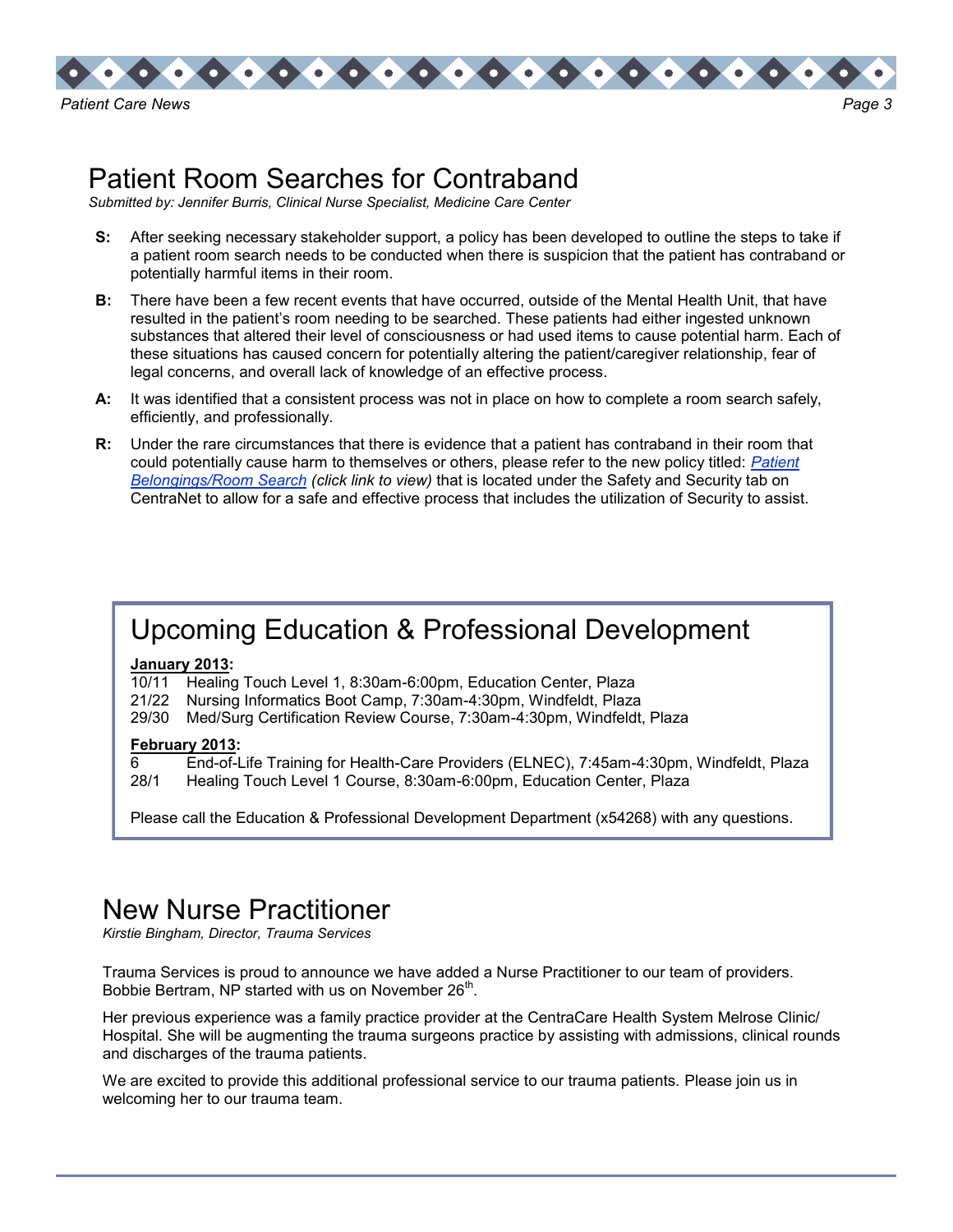

## Patient Room Searches for Contraband

*Submitted by: Jennifer Burris, Clinical Nurse Specialist, Medicine Care Center* 

- **S:** After seeking necessary stakeholder support, a policy has been developed to outline the steps to take if a patient room search needs to be conducted when there is suspicion that the patient has contraband or potentially harmful items in their room.
- **B:** There have been a few recent events that have occurred, outside of the Mental Health Unit, that have resulted in the patient's room needing to be searched. These patients had either ingested unknown substances that altered their level of consciousness or had used items to cause potential harm. Each of these situations has caused concern for potentially altering the patient/caregiver relationship, fear of legal concerns, and overall lack of knowledge of an effective process.
- **A:** It was identified that a consistent process was not in place on how to complete a room search safely, efficiently, and professionally.
- **R:** Under the rare circumstances that there is evidence that a patient has contraband in their room that could potentially cause harm to themselves or others, please refer to the new policy titled: *[Patient](http://centranet/policies/sch/safety/policies/pt_belongings_rm_search.pdf)  [Belongings/Room Search](http://centranet/policies/sch/safety/policies/pt_belongings_rm_search.pdf) (click link to view)* that is located under the Safety and Security tab on CentraNet to allow for a safe and effective process that includes the utilization of Security to assist.

## Upcoming Education & Professional Development

#### **January 2013:**

- 10/11 Healing Touch Level 1, 8:30am-6:00pm, Education Center, Plaza
- 21/22 Nursing Informatics Boot Camp, 7:30am-4:30pm, Windfeldt, Plaza
- 29/30 Med/Surg Certification Review Course, 7:30am-4:30pm, Windfeldt, Plaza

#### **February 2013:**

6 End-of-Life Training for Health-Care Providers (ELNEC), 7:45am-4:30pm, Windfeldt, Plaza

28/1 Healing Touch Level 1 Course, 8:30am-6:00pm, Education Center, Plaza

Please call the Education & Professional Development Department (x54268) with any questions.

## New Nurse Practitioner

*Kirstie Bingham, Director, Trauma Services*

Trauma Services is proud to announce we have added a Nurse Practitioner to our team of providers. Bobbie Bertram, NP started with us on November 26<sup>th</sup>.

Her previous experience was a family practice provider at the CentraCare Health System Melrose Clinic/ Hospital. She will be augmenting the trauma surgeons practice by assisting with admissions, clinical rounds and discharges of the trauma patients.

We are excited to provide this additional professional service to our trauma patients. Please join us in welcoming her to our trauma team.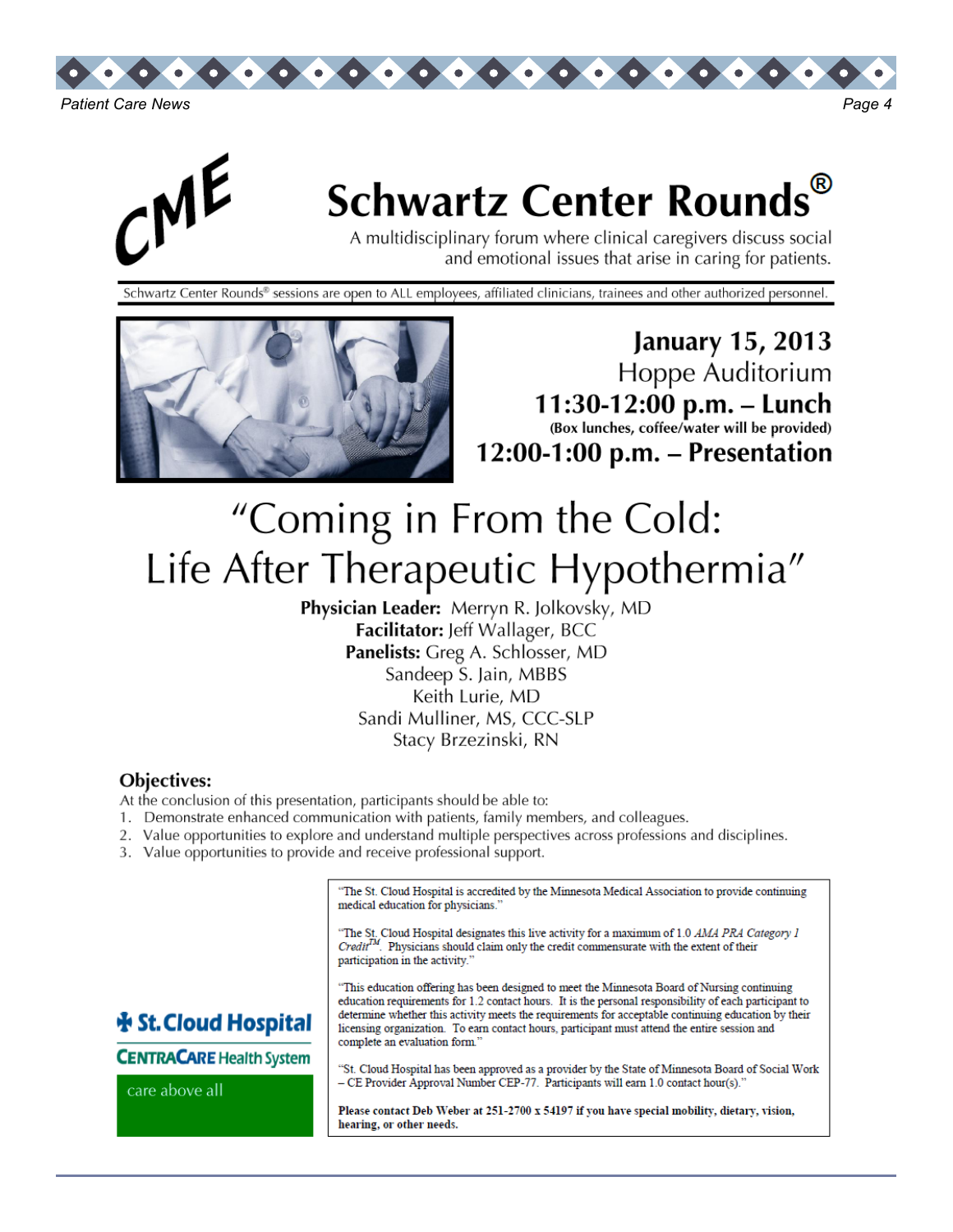



# **Schwartz Center Rounds**

A multidisciplinary forum where clinical caregivers discuss social and emotional issues that arise in caring for patients.

Schwartz Center Rounds® sessions are open to ALL employees, affiliated clinicians, trainees and other authorized personnel.



January 15, 2013 Hoppe Auditorium 11:30-12:00 p.m. - Lunch (Box lunches, coffee/water will be provided)  $12:00-1:00$  p.m. – Presentation

# "Coming in From the Cold: Life After Therapeutic Hypothermia"

Physician Leader: Merryn R. Jolkovsky, MD Facilitator: Jeff Wallager, BCC Panelists: Greg A. Schlosser, MD Sandeep S. Jain, MBBS Keith Lurie, MD Sandi Mulliner, MS, CCC-SLP Stacy Brzezinski, RN

### **Objectives:**

- At the conclusion of this presentation, participants should be able to:
- 1. Demonstrate enhanced communication with patients, family members, and colleagues.
- 2. Value opportunities to explore and understand multiple perspectives across professions and disciplines.
- 3. Value opportunities to provide and receive professional support.

"The St. Cloud Hospital is accredited by the Minnesota Medical Association to provide continuing medical education for physicians."

"The St. Cloud Hospital designates this live activity for a maximum of 1.0 *AMA PRA Category 1 Credit<sup>TM</sup>*. Physicians should claim only the credit commensurate with the extent of their participation in the activity.'

"This education offering has been designed to meet the Minnesota Board of Nursing continuing education requirements for 1.2 contact hours. It is the personal responsibility of each participant to determine whether this activity meets the requirements for acceptable continuing education by their licensing organization. To earn contact hours, participant must attend the entire session and complete an evaluation form.

**Na St. Cloud Hospital** 

**CENTRACARE Health System** 

care above all

"St. Cloud Hospital has been approved as a provider by the State of Minnesota Board of Social Work - CE Provider Approval Number CEP-77. Participants will earn 1.0 contact hour(s).

Please contact Deb Weber at 251-2700 x 54197 if you have special mobility, dietary, vision, hearing, or other needs.